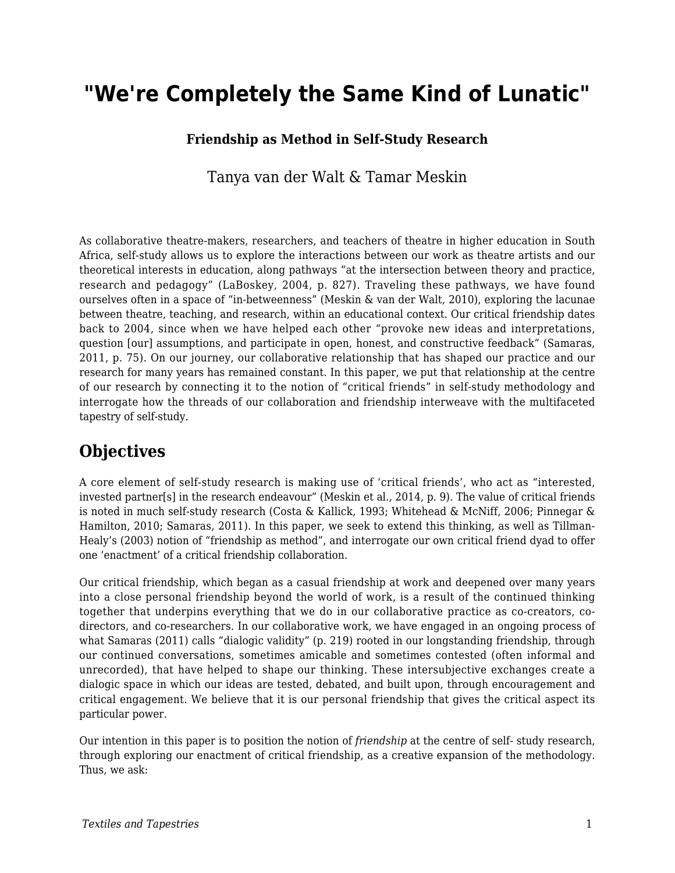# **"We're Completely the Same Kind of Lunatic"**

#### **Friendship as Method in Self-Study Research**

Tanya van der Walt & Tamar Meskin

As collaborative theatre-makers, researchers, and teachers of theatre in higher education in South Africa, self-study allows us to explore the interactions between our work as theatre artists and our theoretical interests in education, along pathways "at the intersection between theory and practice, research and pedagogy" (LaBoskey, 2004, p. 827). Traveling these pathways, we have found ourselves often in a space of "in-betweenness" (Meskin & van der Walt, 2010), exploring the lacunae between theatre, teaching, and research, within an educational context. Our critical friendship dates back to 2004, since when we have helped each other "provoke new ideas and interpretations, question [our] assumptions, and participate in open, honest, and constructive feedback" (Samaras, 2011, p. 75). On our journey, our collaborative relationship that has shaped our practice and our research for many years has remained constant. In this paper, we put that relationship at the centre of our research by connecting it to the notion of "critical friends" in self-study methodology and interrogate how the threads of our collaboration and friendship interweave with the multifaceted tapestry of self-study.

### **Objectives**

A core element of self-study research is making use of 'critical friends', who act as "interested, invested partner[s] in the research endeavour" (Meskin et al*.,* 2014, p. 9). The value of critical friends is noted in much self-study research (Costa & Kallick, 1993; Whitehead & McNiff, 2006; Pinnegar & Hamilton, 2010; Samaras, 2011). In this paper, we seek to extend this thinking, as well as Tillman-Healy's (2003) notion of "friendship as method", and interrogate our own critical friend dyad to offer one 'enactment' of a critical friendship collaboration.

Our critical friendship, which began as a casual friendship at work and deepened over many years into a close personal friendship beyond the world of work, is a result of the continued thinking together that underpins everything that we do in our collaborative practice as co-creators, codirectors, and co-researchers. In our collaborative work, we have engaged in an ongoing process of what Samaras (2011) calls "dialogic validity" (p. 219) rooted in our longstanding friendship, through our continued conversations, sometimes amicable and sometimes contested (often informal and unrecorded), that have helped to shape our thinking. These intersubjective exchanges create a dialogic space in which our ideas are tested, debated, and built upon, through encouragement and critical engagement. We believe that it is our personal friendship that gives the critical aspect its particular power.

Our intention in this paper is to position the notion of *friendship* at the centre of self- study research, through exploring our enactment of critical friendship, as a creative expansion of the methodology. Thus, we ask: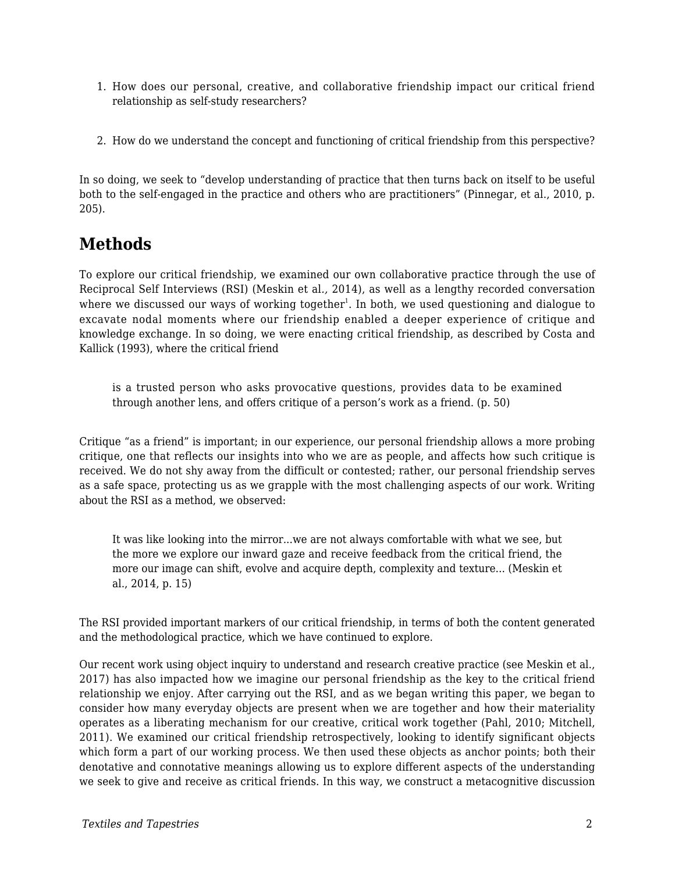- 1. How does our personal, creative, and collaborative friendship impact our critical friend relationship as self-study researchers?
- 2. How do we understand the concept and functioning of critical friendship from this perspective?

In so doing, we seek to "develop understanding of practice that then turns back on itself to be useful both to the self-engaged in the practice and others who are practitioners" (Pinnegar, et al., 2010, p. 205).

## **Methods**

To explore our critical friendship, we examined our own collaborative practice through the use of Reciprocal Self Interviews (RSI) (Meskin et al*.,* 2014), as well as a lengthy recorded conversation where we discussed our ways of working together $^{\rm l}$ . In both, we used questioning and dialogue to excavate nodal moments where our friendship enabled a deeper experience of critique and knowledge exchange. In so doing, we were enacting critical friendship, as described by Costa and Kallick (1993), where the critical friend

is a trusted person who asks provocative questions, provides data to be examined through another lens, and offers critique of a person's work as a friend. (p. 50)

Critique "as a friend" is important; in our experience, our personal friendship allows a more probing critique, one that reflects our insights into who we are as people, and affects how such critique is received. We do not shy away from the difficult or contested; rather, our personal friendship serves as a safe space, protecting us as we grapple with the most challenging aspects of our work. Writing about the RSI as a method, we observed:

It was like looking into the mirror...we are not always comfortable with what we see, but the more we explore our inward gaze and receive feedback from the critical friend, the more our image can shift, evolve and acquire depth, complexity and texture... (Meskin et al., 2014, p. 15)

The RSI provided important markers of our critical friendship, in terms of both the content generated and the methodological practice, which we have continued to explore.

Our recent work using object inquiry to understand and research creative practice (see Meskin et al., 2017) has also impacted how we imagine our personal friendship as the key to the critical friend relationship we enjoy. After carrying out the RSI, and as we began writing this paper, we began to consider how many everyday objects are present when we are together and how their materiality operates as a liberating mechanism for our creative, critical work together (Pahl, 2010; Mitchell, 2011). We examined our critical friendship retrospectively, looking to identify significant objects which form a part of our working process. We then used these objects as anchor points; both their denotative and connotative meanings allowing us to explore different aspects of the understanding we seek to give and receive as critical friends. In this way, we construct a metacognitive discussion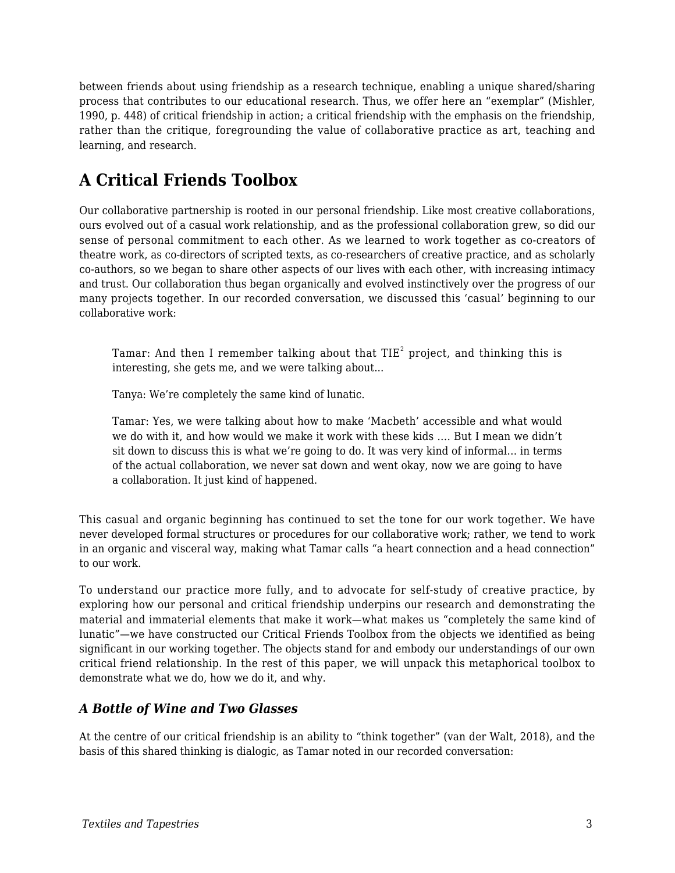between friends about using friendship as a research technique, enabling a unique shared/sharing process that contributes to our educational research. Thus, we offer here an "exemplar" (Mishler, 1990, p. 448) of critical friendship in action; a critical friendship with the emphasis on the friendship, rather than the critique, foregrounding the value of collaborative practice as art, teaching and learning, and research.

# **A Critical Friends Toolbox**

Our collaborative partnership is rooted in our personal friendship. Like most creative collaborations, ours evolved out of a casual work relationship, and as the professional collaboration grew, so did our sense of personal commitment to each other. As we learned to work together as co-creators of theatre work, as co-directors of scripted texts, as co-researchers of creative practice, and as scholarly co-authors, so we began to share other aspects of our lives with each other, with increasing intimacy and trust. Our collaboration thus began organically and evolved instinctively over the progress of our many projects together. In our recorded conversation, we discussed this 'casual' beginning to our collaborative work:

Tamar: And then I remember talking about that TIE $^{\rm 2}$  project, and thinking this is interesting, she gets me, and we were talking about...

Tanya: We're completely the same kind of lunatic.

Tamar: Yes, we were talking about how to make 'Macbeth' accessible and what would we do with it, and how would we make it work with these kids …. But I mean we didn't sit down to discuss this is what we're going to do. It was very kind of informal… in terms of the actual collaboration, we never sat down and went okay, now we are going to have a collaboration. It just kind of happened.

This casual and organic beginning has continued to set the tone for our work together. We have never developed formal structures or procedures for our collaborative work; rather, we tend to work in an organic and visceral way, making what Tamar calls "a heart connection and a head connection" to our work.

To understand our practice more fully, and to advocate for self-study of creative practice, by exploring how our personal and critical friendship underpins our research and demonstrating the material and immaterial elements that make it work—what makes us "completely the same kind of lunatic"—we have constructed our Critical Friends Toolbox from the objects we identified as being significant in our working together. The objects stand for and embody our understandings of our own critical friend relationship. In the rest of this paper, we will unpack this metaphorical toolbox to demonstrate what we do, how we do it, and why.

#### *A Bottle of Wine and Two Glasses*

At the centre of our critical friendship is an ability to "think together" (van der Walt, 2018), and the basis of this shared thinking is dialogic, as Tamar noted in our recorded conversation: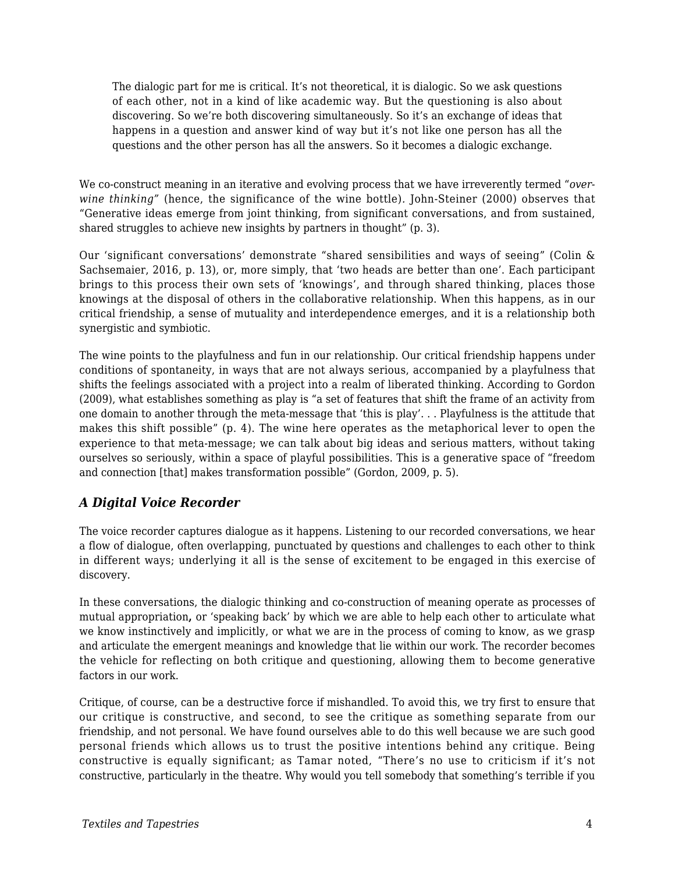The dialogic part for me is critical. It's not theoretical, it is dialogic. So we ask questions of each other, not in a kind of like academic way. But the questioning is also about discovering. So we're both discovering simultaneously. So it's an exchange of ideas that happens in a question and answer kind of way but it's not like one person has all the questions and the other person has all the answers. So it becomes a dialogic exchange.

We co-construct meaning in an iterative and evolving process that we have irreverently termed "*overwine thinking"* (hence, the significance of the wine bottle)*.* John-Steiner (2000) observes that "Generative ideas emerge from joint thinking, from significant conversations, and from sustained, shared struggles to achieve new insights by partners in thought" (p. 3).

Our 'significant conversations' demonstrate "shared sensibilities and ways of seeing" (Colin & Sachsemaier, 2016, p. 13), or, more simply, that 'two heads are better than one'. Each participant brings to this process their own sets of 'knowings', and through shared thinking, places those knowings at the disposal of others in the collaborative relationship. When this happens, as in our critical friendship, a sense of mutuality and interdependence emerges, and it is a relationship both synergistic and symbiotic.

The wine points to the playfulness and fun in our relationship. Our critical friendship happens under conditions of spontaneity, in ways that are not always serious, accompanied by a playfulness that shifts the feelings associated with a project into a realm of liberated thinking. According to Gordon (2009), what establishes something as play is "a set of features that shift the frame of an activity from one domain to another through the meta-message that 'this is play'. . . Playfulness is the attitude that makes this shift possible" (p. 4). The wine here operates as the metaphorical lever to open the experience to that meta-message; we can talk about big ideas and serious matters, without taking ourselves so seriously, within a space of playful possibilities. This is a generative space of "freedom and connection [that] makes transformation possible" (Gordon, 2009, p. 5).

#### *A Digital Voice Recorder*

The voice recorder captures dialogue as it happens. Listening to our recorded conversations, we hear a flow of dialogue, often overlapping, punctuated by questions and challenges to each other to think in different ways; underlying it all is the sense of excitement to be engaged in this exercise of discovery.

In these conversations, the dialogic thinking and co-construction of meaning operate as processes of mutual appropriation**,** or 'speaking back' by which we are able to help each other to articulate what we know instinctively and implicitly, or what we are in the process of coming to know, as we grasp and articulate the emergent meanings and knowledge that lie within our work. The recorder becomes the vehicle for reflecting on both critique and questioning, allowing them to become generative factors in our work.

Critique, of course, can be a destructive force if mishandled. To avoid this, we try first to ensure that our critique is constructive, and second, to see the critique as something separate from our friendship, and not personal. We have found ourselves able to do this well because we are such good personal friends which allows us to trust the positive intentions behind any critique. Being constructive is equally significant; as Tamar noted, "There's no use to criticism if it's not constructive, particularly in the theatre. Why would you tell somebody that something's terrible if you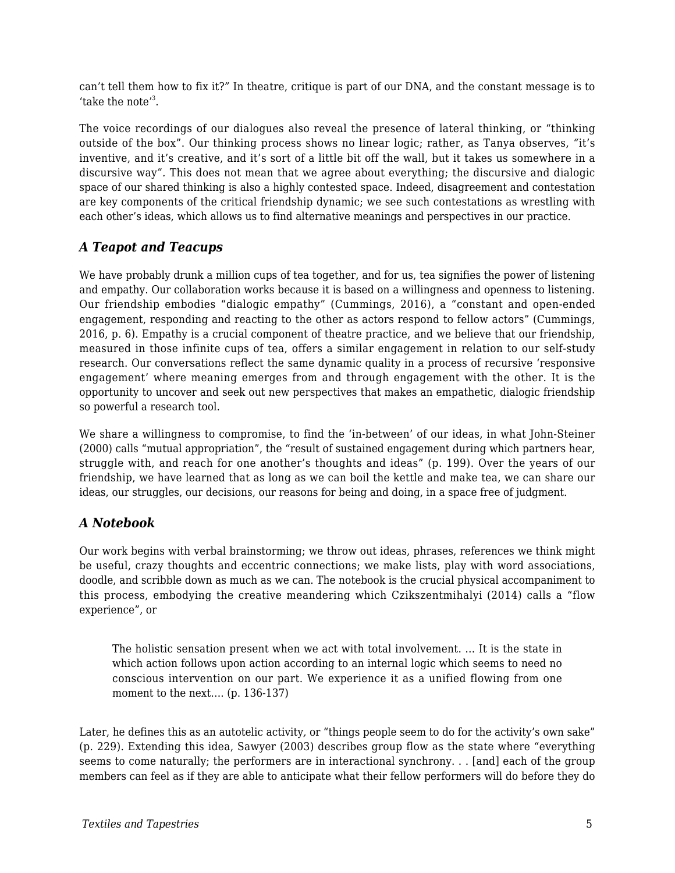can't tell them how to fix it?*"* In theatre, critique is part of our DNA, and the constant message is to 'take the note'<sup>3</sup>.

The voice recordings of our dialogues also reveal the presence of lateral thinking, or "thinking outside of the box". Our thinking process shows no linear logic; rather, as Tanya observes, *"*it's inventive, and it's creative, and it's sort of a little bit off the wall, but it takes us somewhere in a discursive way*".* This does not mean that we agree about everything; the discursive and dialogic space of our shared thinking is also a highly contested space. Indeed, disagreement and contestation are key components of the critical friendship dynamic; we see such contestations as wrestling with each other's ideas, which allows us to find alternative meanings and perspectives in our practice.

#### *A Teapot and Teacups*

We have probably drunk a million cups of tea together, and for us, tea signifies the power of listening and empathy. Our collaboration works because it is based on a willingness and openness to listening. Our friendship embodies "dialogic empathy" (Cummings, 2016), a "constant and open-ended engagement, responding and reacting to the other as actors respond to fellow actors" (Cummings, 2016, p. 6). Empathy is a crucial component of theatre practice, and we believe that our friendship, measured in those infinite cups of tea, offers a similar engagement in relation to our self-study research. Our conversations reflect the same dynamic quality in a process of recursive 'responsive engagement' where meaning emerges from and through engagement with the other. It is the opportunity to uncover and seek out new perspectives that makes an empathetic, dialogic friendship so powerful a research tool.

We share a willingness to compromise, to find the 'in-between' of our ideas, in what John-Steiner (2000) calls "mutual appropriation", the "result of sustained engagement during which partners hear, struggle with, and reach for one another's thoughts and ideas" (p. 199). Over the years of our friendship, we have learned that as long as we can boil the kettle and make tea, we can share our ideas, our struggles, our decisions, our reasons for being and doing, in a space free of judgment.

#### *A Notebook*

Our work begins with verbal brainstorming; we throw out ideas, phrases, references we think might be useful, crazy thoughts and eccentric connections; we make lists, play with word associations, doodle, and scribble down as much as we can. The notebook is the crucial physical accompaniment to this process, embodying the creative meandering which Czikszentmihalyi (2014) calls a "flow experience", or

The holistic sensation present when we act with total involvement. … It is the state in which action follows upon action according to an internal logic which seems to need no conscious intervention on our part. We experience it as a unified flowing from one moment to the next.... (p. 136-137)

Later, he defines this as an autotelic activity*,* or "things people seem to do for the activity's own sake" (p. 229). Extending this idea, Sawyer (2003) describes group flow as the state where "everything seems to come naturally; the performers are in interactional synchrony. . . [and] each of the group members can feel as if they are able to anticipate what their fellow performers will do before they do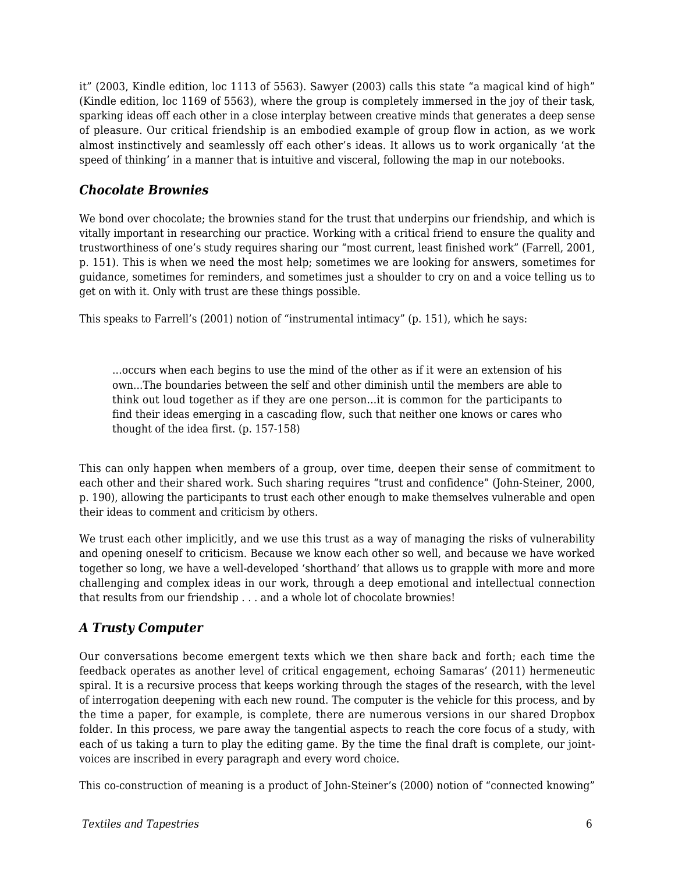it" (2003, Kindle edition, loc 1113 of 5563). Sawyer (2003) calls this state "a magical kind of high" (Kindle edition, loc 1169 of 5563), where the group is completely immersed in the joy of their task, sparking ideas off each other in a close interplay between creative minds that generates a deep sense of pleasure. Our critical friendship is an embodied example of group flow in action, as we work almost instinctively and seamlessly off each other's ideas. It allows us to work organically 'at the speed of thinking' in a manner that is intuitive and visceral, following the map in our notebooks.

#### *Chocolate Brownies*

We bond over chocolate; the brownies stand for the trust that underpins our friendship, and which is vitally important in researching our practice. Working with a critical friend to ensure the quality and trustworthiness of one's study requires sharing our "most current, least finished work" (Farrell, 2001, p. 151). This is when we need the most help; sometimes we are looking for answers, sometimes for guidance, sometimes for reminders, and sometimes just a shoulder to cry on and a voice telling us to get on with it. Only with trust are these things possible.

This speaks to Farrell's (2001) notion of "instrumental intimacy" (p. 151), which he says:

...occurs when each begins to use the mind of the other as if it were an extension of his own...The boundaries between the self and other diminish until the members are able to think out loud together as if they are one person...it is common for the participants to find their ideas emerging in a cascading flow, such that neither one knows or cares who thought of the idea first. (p. 157-158)

This can only happen when members of a group, over time, deepen their sense of commitment to each other and their shared work. Such sharing requires "trust and confidence" (John-Steiner, 2000, p. 190), allowing the participants to trust each other enough to make themselves vulnerable and open their ideas to comment and criticism by others.

We trust each other implicitly, and we use this trust as a way of managing the risks of vulnerability and opening oneself to criticism. Because we know each other so well, and because we have worked together so long, we have a well-developed 'shorthand' that allows us to grapple with more and more challenging and complex ideas in our work, through a deep emotional and intellectual connection that results from our friendship . . . and a whole lot of chocolate brownies!

#### *A Trusty Computer*

Our conversations become emergent texts which we then share back and forth; each time the feedback operates as another level of critical engagement, echoing Samaras' (2011) hermeneutic spiral. It is a recursive process that keeps working through the stages of the research, with the level of interrogation deepening with each new round. The computer is the vehicle for this process, and by the time a paper, for example, is complete, there are numerous versions in our shared Dropbox folder. In this process, we pare away the tangential aspects to reach the core focus of a study, with each of us taking a turn to play the editing game. By the time the final draft is complete, our jointvoices are inscribed in every paragraph and every word choice.

This co-construction of meaning is a product of John-Steiner's (2000) notion of "connected knowing"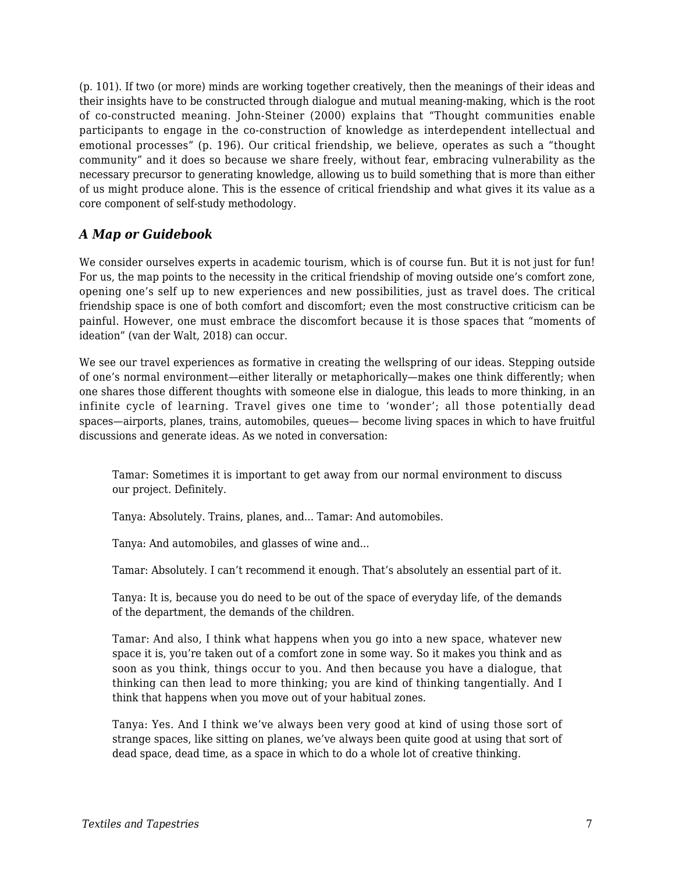(p. 101). If two (or more) minds are working together creatively, then the meanings of their ideas and their insights have to be constructed through dialogue and mutual meaning-making, which is the root of co-constructed meaning. John-Steiner (2000) explains that "Thought communities enable participants to engage in the co-construction of knowledge as interdependent intellectual and emotional processes" (p. 196). Our critical friendship, we believe, operates as such a "thought community" and it does so because we share freely, without fear, embracing vulnerability as the necessary precursor to generating knowledge, allowing us to build something that is more than either of us might produce alone. This is the essence of critical friendship and what gives it its value as a core component of self-study methodology.

#### *A Map or Guidebook*

We consider ourselves experts in academic tourism, which is of course fun. But it is not just for fun! For us, the map points to the necessity in the critical friendship of moving outside one's comfort zone, opening one's self up to new experiences and new possibilities, just as travel does. The critical friendship space is one of both comfort and discomfort; even the most constructive criticism can be painful. However, one must embrace the discomfort because it is those spaces that "moments of ideation" (van der Walt, 2018) can occur.

We see our travel experiences as formative in creating the wellspring of our ideas. Stepping outside of one's normal environment—either literally or metaphorically—makes one think differently; when one shares those different thoughts with someone else in dialogue, this leads to more thinking, in an infinite cycle of learning. Travel gives one time to 'wonder'; all those potentially dead spaces—airports, planes, trains, automobiles, queues— become living spaces in which to have fruitful discussions and generate ideas. As we noted in conversation:

Tamar: Sometimes it is important to get away from our normal environment to discuss our project. Definitely.

Tanya: Absolutely. Trains, planes, and... Tamar: And automobiles.

Tanya: And automobiles, and glasses of wine and...

Tamar: Absolutely. I can't recommend it enough. That's absolutely an essential part of it.

Tanya: It is, because you do need to be out of the space of everyday life, of the demands of the department, the demands of the children.

Tamar: And also, I think what happens when you go into a new space, whatever new space it is, you're taken out of a comfort zone in some way. So it makes you think and as soon as you think, things occur to you. And then because you have a dialogue, that thinking can then lead to more thinking; you are kind of thinking tangentially. And I think that happens when you move out of your habitual zones.

Tanya: Yes. And I think we've always been very good at kind of using those sort of strange spaces, like sitting on planes, we've always been quite good at using that sort of dead space, dead time, as a space in which to do a whole lot of creative thinking.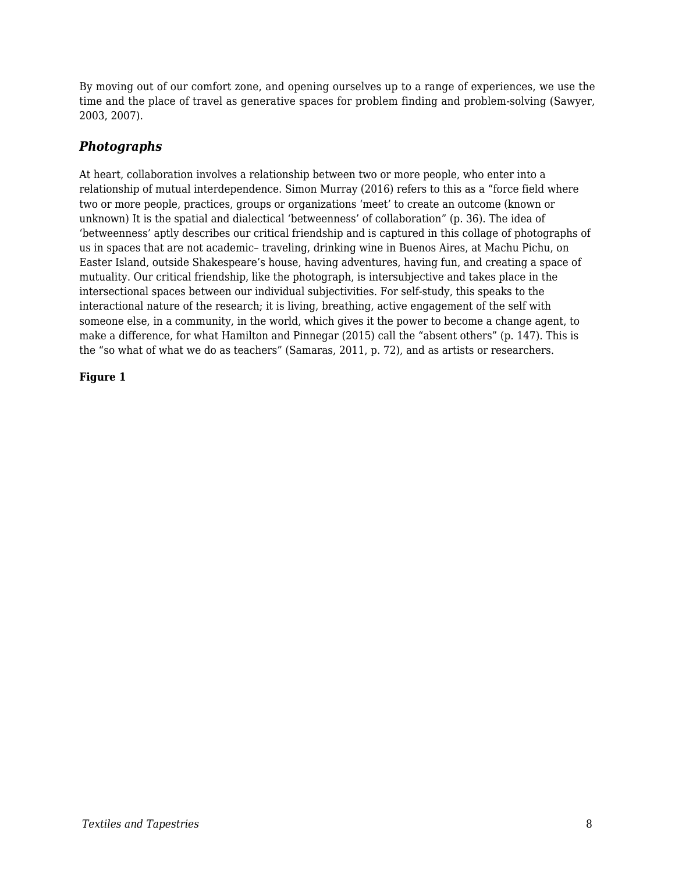By moving out of our comfort zone, and opening ourselves up to a range of experiences, we use the time and the place of travel as generative spaces for problem finding and problem-solving (Sawyer, 2003, 2007).

#### *Photographs*

At heart, collaboration involves a relationship between two or more people, who enter into a relationship of mutual interdependence. Simon Murray (2016) refers to this as a "force field where two or more people, practices, groups or organizations 'meet' to create an outcome (known or unknown) It is the spatial and dialectical 'betweenness' of collaboration" (p. 36). The idea of 'betweenness' aptly describes our critical friendship and is captured in this collage of photographs of us in spaces that are not academic– traveling, drinking wine in Buenos Aires, at Machu Pichu, on Easter Island, outside Shakespeare's house, having adventures, having fun, and creating a space of mutuality. Our critical friendship, like the photograph, is intersubjective and takes place in the intersectional spaces between our individual subjectivities. For self-study, this speaks to the interactional nature of the research; it is living, breathing, active engagement of the self with someone else, in a community, in the world, which gives it the power to become a change agent, to make a difference, for what Hamilton and Pinnegar (2015) call the "absent others" (p. 147). This is the "so what of what we do as teachers" (Samaras, 2011, p. 72), and as artists or researchers.

#### **Figure 1**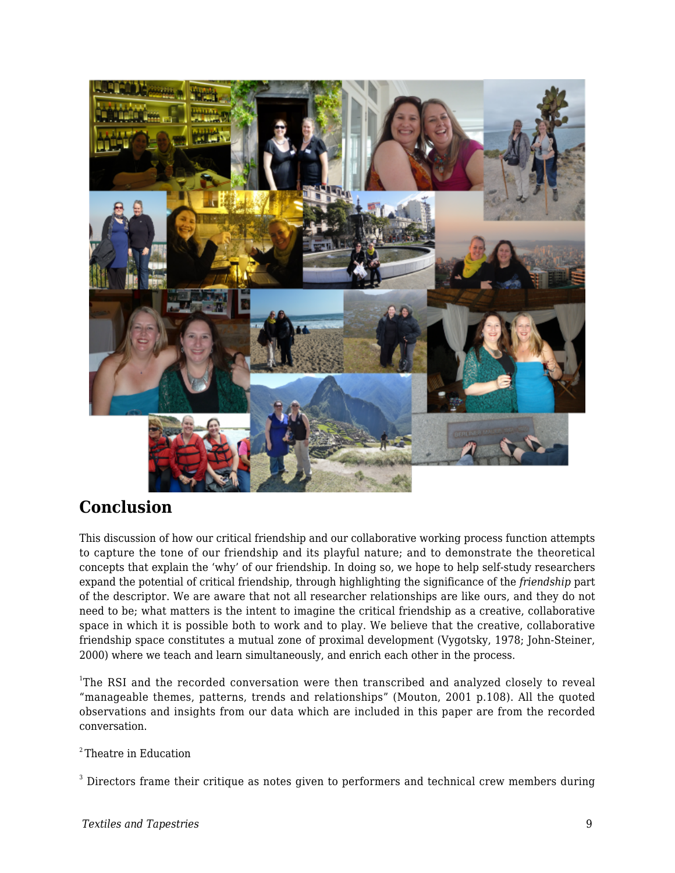

### **Conclusion**

This discussion of how our critical friendship and our collaborative working process function attempts to capture the tone of our friendship and its playful nature; and to demonstrate the theoretical concepts that explain the 'why' of our friendship. In doing so, we hope to help self-study researchers expand the potential of critical friendship, through highlighting the significance of the *friendship* part of the descriptor. We are aware that not all researcher relationships are like ours, and they do not need to be; what matters is the intent to imagine the critical friendship as a creative, collaborative space in which it is possible both to work and to play. We believe that the creative, collaborative friendship space constitutes a mutual zone of proximal development (Vygotsky, 1978; John-Steiner, 2000) where we teach and learn simultaneously, and enrich each other in the process.

<sup>1</sup>The RSI and the recorded conversation were then transcribed and analyzed closely to reveal "manageable themes, patterns, trends and relationships" (Mouton, 2001 p.108). All the quoted observations and insights from our data which are included in this paper are from the recorded conversation.

 $2$ <sup>2</sup>Theatre in Education

 $^3$  Directors frame their critique as notes given to performers and technical crew members during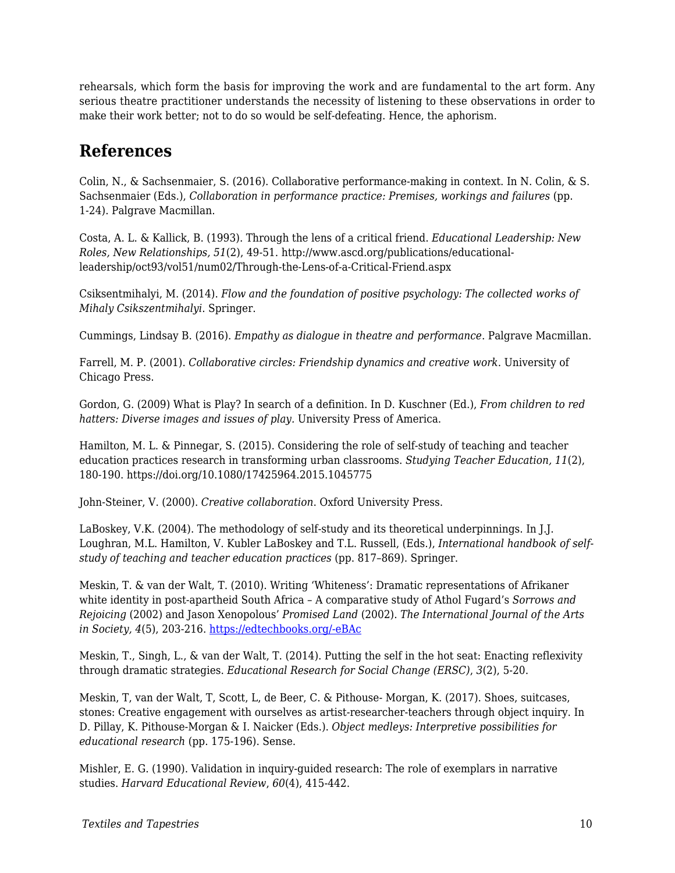rehearsals, which form the basis for improving the work and are fundamental to the art form. Any serious theatre practitioner understands the necessity of listening to these observations in order to make their work better; not to do so would be self-defeating. Hence, the aphorism.

### **References**

Colin, N., & Sachsenmaier, S. (2016). Collaborative performance-making in context. In N. Colin, & S. Sachsenmaier (Eds.), *Collaboration in performance practice: Premises, workings and failures* (pp. 1-24). Palgrave Macmillan.

Costa, A. L. & Kallick, B. (1993). Through the lens of a critical friend. *Educational Leadership: New Roles, New Relationships, 51*(2), 49-51. http://www.ascd.org/publications/educationalleadership/oct93/vol51/num02/Through-the-Lens-of-a-Critical-Friend.aspx

Csiksentmihalyi, M. (2014). *Flow and the foundation of positive psychology: The collected works of Mihaly Csikszentmihalyi*. Springer.

Cummings, Lindsay B. (2016). *Empathy as dialogue in theatre and performance*. Palgrave Macmillan.

Farrell, M. P. (2001). *Collaborative circles: Friendship dynamics and creative work*. University of Chicago Press.

Gordon, G. (2009) What is Play? In search of a definition. In D. Kuschner (Ed.), *From children to red hatters: Diverse images and issues of play.* University Press of America.

Hamilton, M. L. & Pinnegar, S. (2015). Considering the role of self-study of teaching and teacher education practices research in transforming urban classrooms. *Studying Teacher Education, 11*(2), 180-190. https://doi.org/10.1080/17425964.2015.1045775

John-Steiner, V. (2000). *Creative collaboration*. Oxford University Press.

LaBoskey, V.K. (2004). The methodology of self-study and its theoretical underpinnings. In J.J. Loughran, M.L. Hamilton, V. Kubler LaBoskey and T.L. Russell, (Eds.), *International handbook of selfstudy of teaching and teacher education practices* (pp. 817–869). Springer.

Meskin, T. & van der Walt, T. (2010). Writing 'Whiteness': Dramatic representations of Afrikaner white identity in post-apartheid South Africa – A comparative study of Athol Fugard's *Sorrows and Rejoicing* (2002) and Jason Xenopolous' *Promised Land* (2002). *The International Journal of the Arts in Society, 4*(5), 203-216. [https://edtechbooks.org/-eBAc](https://doi.org/10.18848/1833-1866/CGP/v04i05/35730)

Meskin, T., Singh, L., & van der Walt, T. (2014). Putting the self in the hot seat: Enacting reflexivity through dramatic strategies. *Educational Research for Social Change (ERSC)*, *3*(2), 5-20.

Meskin, T, van der Walt, T, Scott, L, de Beer, C. & Pithouse- Morgan, K. (2017). Shoes, suitcases, stones: Creative engagement with ourselves as artist-researcher-teachers through object inquiry. In D. Pillay, K. Pithouse-Morgan & I. Naicker (Eds.). *Object medleys: Interpretive possibilities for educational research* (pp. 175-196). Sense.

Mishler, E. G. (1990). Validation in inquiry-guided research: The role of exemplars in narrative studies. *Harvard Educational Review*, *60*(4), 415-442.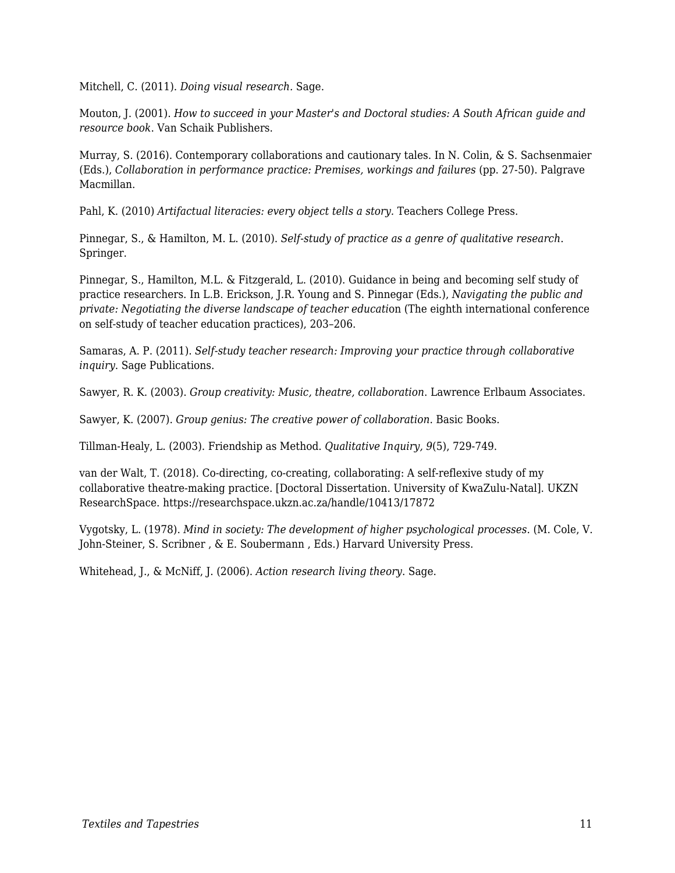Mitchell, C. (2011). *Doing visual research.* Sage.

Mouton, J. (2001). *How to succeed in your Master's and Doctoral studies: A South African guide and resource book*. Van Schaik Publishers.

Murray, S. (2016). Contemporary collaborations and cautionary tales. In N. Colin, & S. Sachsenmaier (Eds.), *Collaboration in performance practice: Premises, workings and failures* (pp. 27-50). Palgrave Macmillan.

Pahl, K. (2010) *Artifactual literacies: every object tells a story*. Teachers College Press.

Pinnegar, S., & Hamilton, M. L. (2010). *Self-study of practice as a genre of qualitative research*. Springer.

Pinnegar, S., Hamilton, M.L. & Fitzgerald, L. (2010). Guidance in being and becoming self study of practice researchers. In L.B. Erickson, J.R. Young and S. Pinnegar (Eds.), *Navigating the public and private: Negotiating the diverse landscape of teacher educati*on (The eighth international conference on self-study of teacher education practices), 203–206.

Samaras, A. P. (2011). *Self-study teacher research: Improving your practice through collaborative inquiry*. Sage Publications.

Sawyer, R. K. (2003). *Group creativity: Music, theatre, collaboration*. Lawrence Erlbaum Associates.

Sawyer, K. (2007). *Group genius: The creative power of collaboration*. Basic Books.

Tillman-Healy, L. (2003). Friendship as Method. *Qualitative Inquiry, 9*(5), 729-749.

van der Walt, T. (2018). Co-directing, co-creating, collaborating: A self-reflexive study of my collaborative theatre-making practice. [Doctoral Dissertation. University of KwaZulu-Natal]. UKZN ResearchSpace. https://researchspace.ukzn.ac.za/handle/10413/17872

Vygotsky, L. (1978). *Mind in society: The development of higher psychological processes*. (M. Cole, V. John-Steiner, S. Scribner , & E. Soubermann , Eds.) Harvard University Press.

Whitehead, J., & McNiff, J. (2006). *Action research living theory*. Sage.